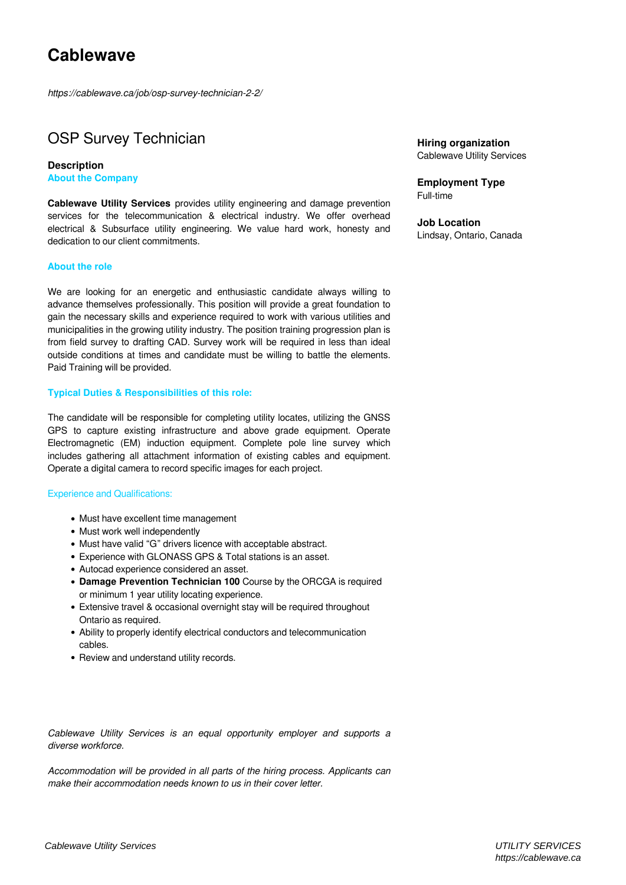*https://cablewave.ca/job/osp-survey-technician-2-2/*

## OSP Survey Technician

**Description About the Company**

**Cablewave Utility Services** provides utility engineering and damage prevention services for the telecommunication & electrical industry. We offer overhead electrical & Subsurface utility engineering. We value hard work, honesty and dedication to our client commitments.

## **About the role**

We are looking for an energetic and enthusiastic candidate always willing to advance themselves professionally. This position will provide a great foundation to gain the necessary skills and experience required to work with various utilities and municipalities in the growing utility industry. The position training progression plan is from field survey to drafting CAD. Survey work will be required in less than ideal outside conditions at times and candidate must be willing to battle the elements. Paid Training will be provided.

## **Typical Duties & Responsibilities of this role:**

The candidate will be responsible for completing utility locates, utilizing the GNSS GPS to capture existing infrastructure and above grade equipment. Operate Electromagnetic (EM) induction equipment. Complete pole line survey which includes gathering all attachment information of existing cables and equipment. Operate a digital camera to record specific images for each project.

## Experience and Qualifications:

- Must have excellent time management
- Must work well independently
- Must have valid "G" drivers licence with acceptable abstract.
- Experience with GLONASS GPS & Total stations is an asset.
- Autocad experience considered an asset.
- **Damage Prevention Technician 100** Course by the ORCGA is required or minimum 1 year utility locating experience.
- Extensive travel & occasional overnight stay will be required throughout Ontario as required.
- Ability to properly identify electrical conductors and telecommunication cables.
- Review and understand utility records.

*Cablewave Utility Services is an equal opportunity employer and supports a diverse workforce.*

*Accommodation will be provided in all parts of the hiring process. Applicants can make their accommodation needs known to us in their cover letter.*

**Hiring organization** Cablewave Utility Services

**Employment Type** Full-time

**Job Location** Lindsay, Ontario, Canada